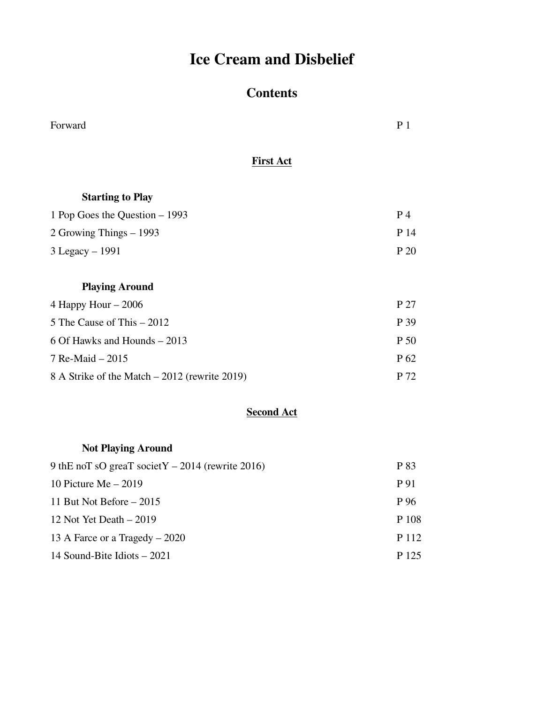# **Ice Cream and Disbelief**

## **Contents**

| Forward                                       | P <sub>1</sub>  |
|-----------------------------------------------|-----------------|
| <b>First Act</b>                              |                 |
| <b>Starting to Play</b>                       |                 |
| 1 Pop Goes the Question – 1993                | P <sub>4</sub>  |
| 2 Growing Things – 1993                       | P 14            |
| 3 Legacy - 1991                               | P 20            |
| <b>Playing Around</b>                         |                 |
| 4 Happy Hour $-2006$                          | P 27            |
| 5 The Cause of This – 2012                    | P 39            |
| 6 Of Hawks and Hounds – 2013                  | P 50            |
| 7 Re-Maid - 2015                              | P <sub>62</sub> |
| 8 A Strike of the Match – 2012 (rewrite 2019) | P 72            |

#### **Second Act**

## **Not Playing Around**

| 9 thE noT sO greaT societY $-2014$ (rewrite 2016) | P 83  |
|---------------------------------------------------|-------|
| 10 Picture Me $-2019$                             | P 91  |
| 11 But Not Before $-2015$                         | P 96  |
| 12 Not Yet Death $-2019$                          | P 108 |
| 13 A Farce or a Tragedy $-2020$                   | P 112 |
| 14 Sound-Bite Idiots – 2021                       | P 125 |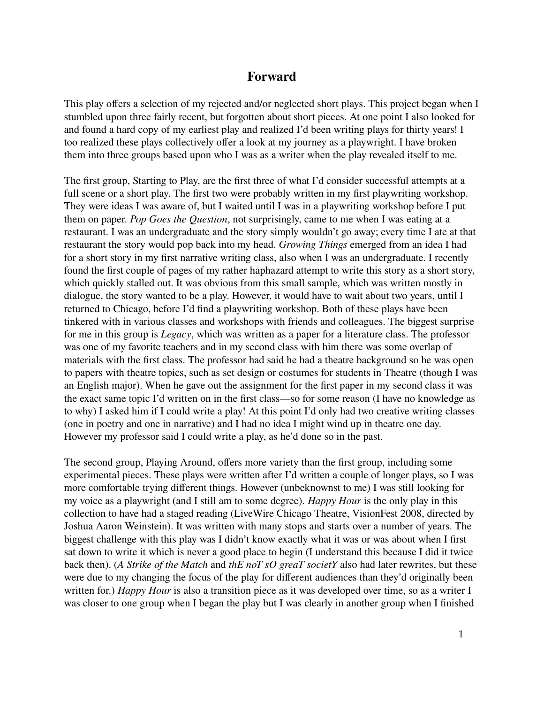### **Forward**

This play offers a selection of my rejected and/or neglected short plays. This project began when I stumbled upon three fairly recent, but forgotten about short pieces. At one point I also looked for and found a hard copy of my earliest play and realized I'd been writing plays for thirty years! I too realized these plays collectively offer a look at my journey as a playwright. I have broken them into three groups based upon who I was as a writer when the play revealed itself to me.

The first group, Starting to Play, are the first three of what I'd consider successful attempts at a full scene or a short play. The first two were probably written in my first playwriting workshop. They were ideas I was aware of, but I waited until I was in a playwriting workshop before I put them on paper. *Pop Goes the Question*, not surprisingly, came to me when I was eating at a restaurant. I was an undergraduate and the story simply wouldn't go away; every time I ate at that restaurant the story would pop back into my head. *Growing Things* emerged from an idea I had for a short story in my first narrative writing class, also when I was an undergraduate. I recently found the first couple of pages of my rather haphazard attempt to write this story as a short story, which quickly stalled out. It was obvious from this small sample, which was written mostly in dialogue, the story wanted to be a play. However, it would have to wait about two years, until I returned to Chicago, before I'd find a playwriting workshop. Both of these plays have been tinkered with in various classes and workshops with friends and colleagues. The biggest surprise for me in this group is *Legacy*, which was written as a paper for a literature class. The professor was one of my favorite teachers and in my second class with him there was some overlap of materials with the first class. The professor had said he had a theatre background so he was open to papers with theatre topics, such as set design or costumes for students in Theatre (though I was an English major). When he gave out the assignment for the first paper in my second class it was the exact same topic I'd written on in the first class—so for some reason (I have no knowledge as to why) I asked him if I could write a play! At this point I'd only had two creative writing classes (one in poetry and one in narrative) and I had no idea I might wind up in theatre one day. However my professor said I could write a play, as he'd done so in the past.

The second group, Playing Around, offers more variety than the first group, including some experimental pieces. These plays were written after I'd written a couple of longer plays, so I was more comfortable trying different things. However (unbeknownst to me) I was still looking for my voice as a playwright (and I still am to some degree). *Happy Hour* is the only play in this collection to have had a staged reading (LiveWire Chicago Theatre, VisionFest 2008, directed by Joshua Aaron Weinstein). It was written with many stops and starts over a number of years. The biggest challenge with this play was I didn't know exactly what it was or was about when I first sat down to write it which is never a good place to begin (I understand this because I did it twice back then). (*A Strike of the Match* and *thE noT sO greaT societY* also had later rewrites, but these were due to my changing the focus of the play for different audiences than they'd originally been written for.) *Happy Hour* is also a transition piece as it was developed over time, so as a writer I was closer to one group when I began the play but I was clearly in another group when I finished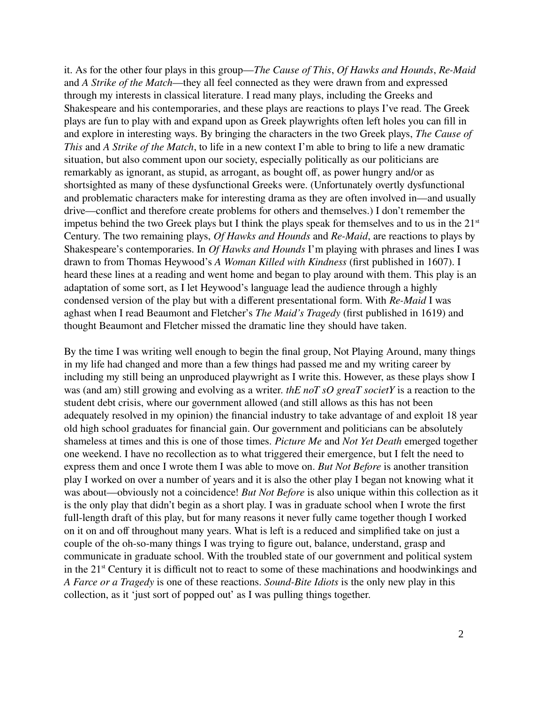it. As for the other four plays in this group—*The Cause of This*, *Of Hawks and Hounds*, *Re-Maid* and *A Strike of the Match*—they all feel connected as they were drawn from and expressed through my interests in classical literature. I read many plays, including the Greeks and Shakespeare and his contemporaries, and these plays are reactions to plays I've read. The Greek plays are fun to play with and expand upon as Greek playwrights often left holes you can fill in and explore in interesting ways. By bringing the characters in the two Greek plays, *The Cause of This* and *A Strike of the Match*, to life in a new context I'm able to bring to life a new dramatic situation, but also comment upon our society, especially politically as our politicians are remarkably as ignorant, as stupid, as arrogant, as bought off, as power hungry and/or as shortsighted as many of these dysfunctional Greeks were. (Unfortunately overtly dysfunctional and problematic characters make for interesting drama as they are often involved in—and usually drive—conflict and therefore create problems for others and themselves.) I don't remember the impetus behind the two Greek plays but I think the plays speak for themselves and to us in the  $21<sup>st</sup>$ Century. The two remaining plays, *Of Hawks and Hounds* and *Re-Maid*, are reactions to plays by Shakespeare's contemporaries. In *Of Hawks and Hounds* I'm playing with phrases and lines I was drawn to from Thomas Heywood's *A Woman Killed with Kindness* (first published in 1607). I heard these lines at a reading and went home and began to play around with them. This play is an adaptation of some sort, as I let Heywood's language lead the audience through a highly condensed version of the play but with a different presentational form. With *Re-Maid* I was aghast when I read Beaumont and Fletcher's *The Maid's Tragedy* (first published in 1619) and thought Beaumont and Fletcher missed the dramatic line they should have taken.

By the time I was writing well enough to begin the final group, Not Playing Around, many things in my life had changed and more than a few things had passed me and my writing career by including my still being an unproduced playwright as I write this. However, as these plays show I was (and am) still growing and evolving as a writer. *thE noT sO greaT societY* is a reaction to the student debt crisis, where our government allowed (and still allows as this has not been adequately resolved in my opinion) the financial industry to take advantage of and exploit 18 year old high school graduates for financial gain. Our government and politicians can be absolutely shameless at times and this is one of those times. *Picture Me* and *Not Yet Death* emerged together one weekend. I have no recollection as to what triggered their emergence, but I felt the need to express them and once I wrote them I was able to move on. *But Not Before* is another transition play I worked on over a number of years and it is also the other play I began not knowing what it was about—obviously not a coincidence! *But Not Before* is also unique within this collection as it is the only play that didn't begin as a short play. I was in graduate school when I wrote the first full-length draft of this play, but for many reasons it never fully came together though I worked on it on and off throughout many years. What is left is a reduced and simplified take on just a couple of the oh-so-many things I was trying to figure out, balance, understand, grasp and communicate in graduate school. With the troubled state of our government and political system in the 21<sup>st</sup> Century it is difficult not to react to some of these machinations and hoodwinkings and *A Farce or a Tragedy* is one of these reactions. *Sound-Bite Idiots* is the only new play in this collection, as it 'just sort of popped out' as I was pulling things together.